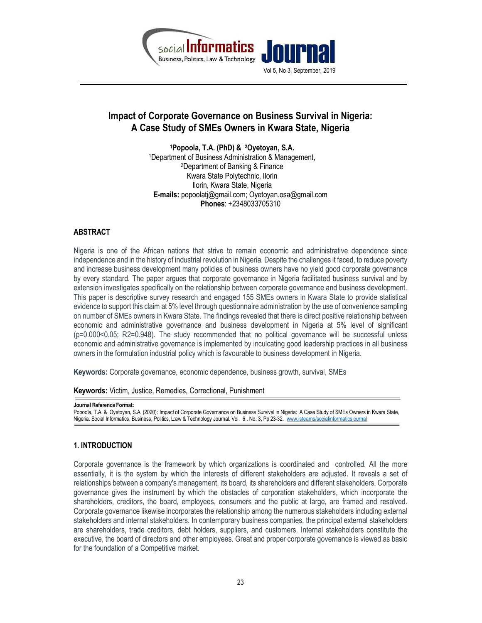

# Impact of Corporate Governance on Business Survival in Nigeria: A Case Study of SMEs Owners in Kwara State, Nigeria

<sup>1</sup>Popoola, T.A. (PhD) & 2Oyetoyan, S.A. <sup>1</sup>Department of Business Administration & Management, <sup>2</sup>Department of Banking & Finance Kwara State Polytechnic, Ilorin Ilorin, Kwara State, Nigeria E-mails: popoolatj@gmail.com; Oyetoyan.osa@gmail.com Phones: +2348033705310

# ABSTRACT

Nigeria is one of the African nations that strive to remain economic and administrative dependence since independence and in the history of industrial revolution in Nigeria. Despite the challenges it faced, to reduce poverty and increase business development many policies of business owners have no yield good corporate governance by every standard. The paper argues that corporate governance in Nigeria facilitated business survival and by extension investigates specifically on the relationship between corporate governance and business development. This paper is descriptive survey research and engaged 155 SMEs owners in Kwara State to provide statistical evidence to support this claim at 5% level through questionnaire administration by the use of convenience sampling on number of SMEs owners in Kwara State. The findings revealed that there is direct positive relationship between economic and administrative governance and business development in Nigeria at 5% level of significant (p=0.000<0.05; R2=0.948). The study recommended that no political governance will be successful unless economic and administrative governance is implemented by inculcating good leadership practices in all business owners in the formulation industrial policy which is favourable to business development in Nigeria.

Keywords: Corporate governance, economic dependence, business growth, survival, SMEs

Keywords: Victim, Justice, Remedies, Correctional, Punishment

Journal Reference Format:

Popoola, T.A. & Oyetoyan, S.A. (2020): Impact of Corporate Governance on Business Survival in Nigeria: A Case Study of SMEs Owners in Kwara State, Nigeria. Social Informatics, Business, Politics, L:aw & Technology Journal. Vol. 6 . No. 3, Pp 23-32. www.isteams/socialinformaticsjournal

#### 1. INTRODUCTION

Corporate governance is the framework by which organizations is coordinated and controlled. All the more essentially, it is the system by which the interests of different stakeholders are adjusted. It reveals a set of relationships between a company's management, its board, its shareholders and different stakeholders. Corporate governance gives the instrument by which the obstacles of corporation stakeholders, which incorporate the shareholders, creditors, the board, employees, consumers and the public at large, are framed and resolved. Corporate governance likewise incorporates the relationship among the numerous stakeholders including external stakeholders and internal stakeholders. In contemporary business companies, the principal external stakeholders are shareholders, trade creditors, debt holders, suppliers, and customers. Internal stakeholders constitute the executive, the board of directors and other employees. Great and proper corporate governance is viewed as basic for the foundation of a Competitive market.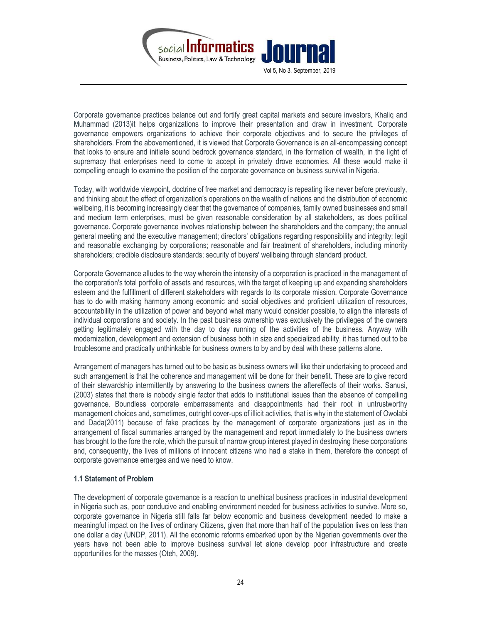

Corporate governance practices balance out and fortify great capital markets and secure investors, Khaliq and Muhammad (2013)it helps organizations to improve their presentation and draw in investment. Corporate governance empowers organizations to achieve their corporate objectives and to secure the privileges of shareholders. From the abovementioned, it is viewed that Corporate Governance is an all-encompassing concept that looks to ensure and initiate sound bedrock governance standard, in the formation of wealth, in the light of supremacy that enterprises need to come to accept in privately drove economies. All these would make it compelling enough to examine the position of the corporate governance on business survival in Nigeria.

Today, with worldwide viewpoint, doctrine of free market and democracy is repeating like never before previously, and thinking about the effect of organization's operations on the wealth of nations and the distribution of economic wellbeing, it is becoming increasingly clear that the governance of companies, family owned businesses and small and medium term enterprises, must be given reasonable consideration by all stakeholders, as does political governance. Corporate governance involves relationship between the shareholders and the company; the annual general meeting and the executive management; directors' obligations regarding responsibility and integrity; legit and reasonable exchanging by corporations; reasonable and fair treatment of shareholders, including minority shareholders; credible disclosure standards; security of buyers' wellbeing through standard product.

Corporate Governance alludes to the way wherein the intensity of a corporation is practiced in the management of the corporation's total portfolio of assets and resources, with the target of keeping up and expanding shareholders esteem and the fulfillment of different stakeholders with regards to its corporate mission. Corporate Governance has to do with making harmony among economic and social objectives and proficient utilization of resources, accountability in the utilization of power and beyond what many would consider possible, to align the interests of individual corporations and society. In the past business ownership was exclusively the privileges of the owners getting legitimately engaged with the day to day running of the activities of the business. Anyway with modernization, development and extension of business both in size and specialized ability, it has turned out to be troublesome and practically unthinkable for business owners to by and by deal with these patterns alone.

Arrangement of managers has turned out to be basic as business owners will like their undertaking to proceed and such arrangement is that the coherence and management will be done for their benefit. These are to give record of their stewardship intermittently by answering to the business owners the aftereffects of their works. Sanusi, (2003) states that there is nobody single factor that adds to institutional issues than the absence of compelling governance. Boundless corporate embarrassments and disappointments had their root in untrustworthy management choices and, sometimes, outright cover-ups of illicit activities, that is why in the statement of Owolabi and Dada(2011) because of fake practices by the management of corporate organizations just as in the arrangement of fiscal summaries arranged by the management and report immediately to the business owners has brought to the fore the role, which the pursuit of narrow group interest played in destroying these corporations and, consequently, the lives of millions of innocent citizens who had a stake in them, therefore the concept of corporate governance emerges and we need to know.

#### 1.1 Statement of Problem

The development of corporate governance is a reaction to unethical business practices in industrial development in Nigeria such as, poor conducive and enabling environment needed for business activities to survive. More so, corporate governance in Nigeria still falls far below economic and business development needed to make a meaningful impact on the lives of ordinary Citizens, given that more than half of the population lives on less than one dollar a day (UNDP, 2011). All the economic reforms embarked upon by the Nigerian governments over the years have not been able to improve business survival let alone develop poor infrastructure and create opportunities for the masses (Oteh, 2009).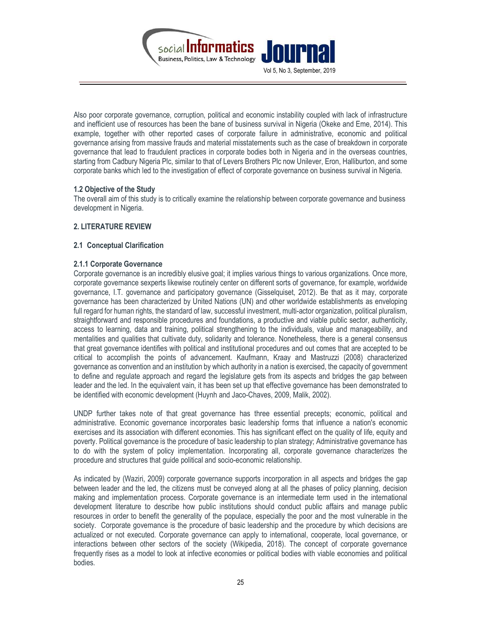

Also poor corporate governance, corruption, political and economic instability coupled with lack of infrastructure and inefficient use of resources has been the bane of business survival in Nigeria (Okeke and Eme, 2014). This example, together with other reported cases of corporate failure in administrative, economic and political governance arising from massive frauds and material misstatements such as the case of breakdown in corporate governance that lead to fraudulent practices in corporate bodies both in Nigeria and in the overseas countries, starting from Cadbury Nigeria Plc, similar to that of Levers Brothers Plc now Unilever, Eron, Halliburton, and some corporate banks which led to the investigation of effect of corporate governance on business survival in Nigeria.

#### 1.2 Objective of the Study

The overall aim of this study is to critically examine the relationship between corporate governance and business development in Nigeria.

# 2. LITERATURE REVIEW

### 2.1 Conceptual Clarification

### 2.1.1 Corporate Governance

Corporate governance is an incredibly elusive goal; it implies various things to various organizations. Once more, corporate governance sexperts likewise routinely center on different sorts of governance, for example, worldwide governance, I.T. governance and participatory governance (Gisselquiset, 2012). Be that as it may, corporate governance has been characterized by United Nations (UN) and other worldwide establishments as enveloping full regard for human rights, the standard of law, successful investment, multi-actor organization, political pluralism, straightforward and responsible procedures and foundations, a productive and viable public sector, authenticity, access to learning, data and training, political strengthening to the individuals, value and manageability, and mentalities and qualities that cultivate duty, solidarity and tolerance. Nonetheless, there is a general consensus that great governance identifies with political and institutional procedures and out comes that are accepted to be critical to accomplish the points of advancement. Kaufmann, Kraay and Mastruzzi (2008) characterized governance as convention and an institution by which authority in a nation is exercised, the capacity of government to define and regulate approach and regard the legislature gets from its aspects and bridges the gap between leader and the led. In the equivalent vain, it has been set up that effective governance has been demonstrated to be identified with economic development (Huynh and Jaco-Chaves, 2009, Malik, 2002).

UNDP further takes note of that great governance has three essential precepts; economic, political and administrative. Economic governance incorporates basic leadership forms that influence a nation's economic exercises and its association with different economies. This has significant effect on the quality of life, equity and poverty. Political governance is the procedure of basic leadership to plan strategy; Administrative governance has to do with the system of policy implementation. Incorporating all, corporate governance characterizes the procedure and structures that guide political and socio-economic relationship.

As indicated by (Waziri, 2009) corporate governance supports incorporation in all aspects and bridges the gap between leader and the led, the citizens must be conveyed along at all the phases of policy planning, decision making and implementation process. Corporate governance is an intermediate term used in the international development literature to describe how public institutions should conduct public affairs and manage public resources in order to benefit the generality of the populace, especially the poor and the most vulnerable in the society. Corporate governance is the procedure of basic leadership and the procedure by which decisions are actualized or not executed. Corporate governance can apply to international, cooperate, local governance, or interactions between other sectors of the society (Wikipedia, 2018). The concept of corporate governance frequently rises as a model to look at infective economies or political bodies with viable economies and political bodies.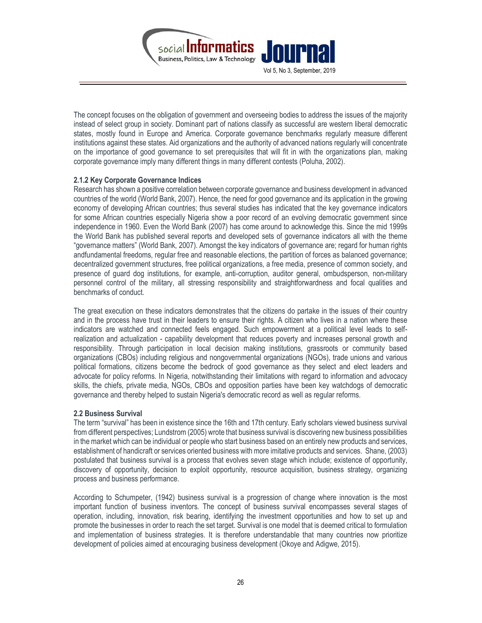

The concept focuses on the obligation of government and overseeing bodies to address the issues of the majority instead of select group in society. Dominant part of nations classify as successful are western liberal democratic states, mostly found in Europe and America. Corporate governance benchmarks regularly measure different institutions against these states. Aid organizations and the authority of advanced nations regularly will concentrate on the importance of good governance to set prerequisites that will fit in with the organizations plan, making corporate governance imply many different things in many different contests (Poluha, 2002).

### 2.1.2 Key Corporate Governance Indices

Research has shown a positive correlation between corporate governance and business development in advanced countries of the world (World Bank, 2007). Hence, the need for good governance and its application in the growing economy of developing African countries; thus several studies has indicated that the key governance indicators for some African countries especially Nigeria show a poor record of an evolving democratic government since independence in 1960. Even the World Bank (2007) has come around to acknowledge this. Since the mid 1999s the World Bank has published several reports and developed sets of governance indicators all with the theme "governance matters" (World Bank, 2007). Amongst the key indicators of governance are; regard for human rights andfundamental freedoms, regular free and reasonable elections, the partition of forces as balanced governance; decentralized government structures, free political organizations, a free media, presence of common society, and presence of guard dog institutions, for example, anti-corruption, auditor general, ombudsperson, non-military personnel control of the military, all stressing responsibility and straightforwardness and focal qualities and benchmarks of conduct.

The great execution on these indicators demonstrates that the citizens do partake in the issues of their country and in the process have trust in their leaders to ensure their rights. A citizen who lives in a nation where these indicators are watched and connected feels engaged. Such empowerment at a political level leads to selfrealization and actualization - capability development that reduces poverty and increases personal growth and responsibility. Through participation in local decision making institutions, grassroots or community based organizations (CBOs) including religious and nongovernmental organizations (NGOs), trade unions and various political formations, citizens become the bedrock of good governance as they select and elect leaders and advocate for policy reforms. In Nigeria, notwithstanding their limitations with regard to information and advocacy skills, the chiefs, private media, NGOs, CBOs and opposition parties have been key watchdogs of democratic governance and thereby helped to sustain Nigeria's democratic record as well as regular reforms.

#### 2.2 Business Survival

The term "survival" has been in existence since the 16th and 17th century. Early scholars viewed business survival from different perspectives; Lundstrom (2005) wrote that business survival is discovering new business possibilities in the market which can be individual or people who start business based on an entirely new products and services, establishment of handicraft or services oriented business with more imitative products and services. Shane, (2003) postulated that business survival is a process that evolves seven stage which include; existence of opportunity, discovery of opportunity, decision to exploit opportunity, resource acquisition, business strategy, organizing process and business performance.

According to Schumpeter, (1942) business survival is a progression of change where innovation is the most important function of business inventors. The concept of business survival encompasses several stages of operation, including, innovation, risk bearing, identifying the investment opportunities and how to set up and promote the businesses in order to reach the set target. Survival is one model that is deemed critical to formulation and implementation of business strategies. It is therefore understandable that many countries now prioritize development of policies aimed at encouraging business development (Okoye and Adigwe, 2015).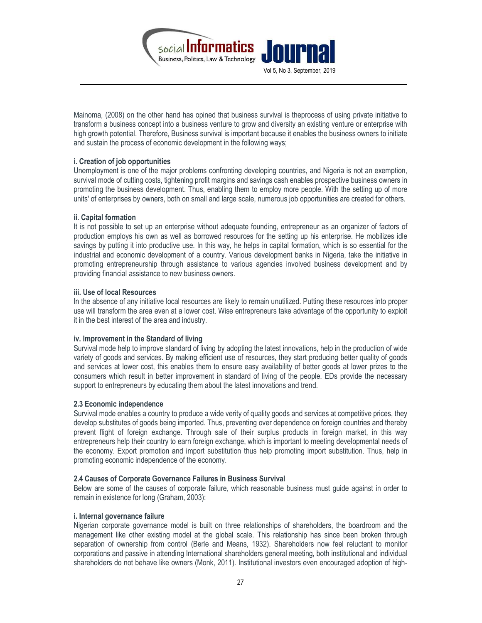

Mainoma, (2008) on the other hand has opined that business survival is theprocess of using private initiative to transform a business concept into a business venture to grow and diversity an existing venture or enterprise with high growth potential. Therefore, Business survival is important because it enables the business owners to initiate and sustain the process of economic development in the following ways;

### i. Creation of job opportunities

Unemployment is one of the major problems confronting developing countries, and Nigeria is not an exemption, survival mode of cutting costs, tightening profit margins and savings cash enables prospective business owners in promoting the business development. Thus, enabling them to employ more people. With the setting up of more units' of enterprises by owners, both on small and large scale, numerous job opportunities are created for others.

#### ii. Capital formation

It is not possible to set up an enterprise without adequate founding, entrepreneur as an organizer of factors of production employs his own as well as borrowed resources for the setting up his enterprise. He mobilizes idle savings by putting it into productive use. In this way, he helps in capital formation, which is so essential for the industrial and economic development of a country. Various development banks in Nigeria, take the initiative in promoting entrepreneurship through assistance to various agencies involved business development and by providing financial assistance to new business owners.

### iii. Use of local Resources

In the absence of any initiative local resources are likely to remain unutilized. Putting these resources into proper use will transform the area even at a lower cost. Wise entrepreneurs take advantage of the opportunity to exploit it in the best interest of the area and industry.

#### iv. Improvement in the Standard of living

Survival mode help to improve standard of living by adopting the latest innovations, help in the production of wide variety of goods and services. By making efficient use of resources, they start producing better quality of goods and services at lower cost, this enables them to ensure easy availability of better goods at lower prizes to the consumers which result in better improvement in standard of living of the people. EDs provide the necessary support to entrepreneurs by educating them about the latest innovations and trend.

#### 2.3 Economic independence

Survival mode enables a country to produce a wide verity of quality goods and services at competitive prices, they develop substitutes of goods being imported. Thus, preventing over dependence on foreign countries and thereby prevent flight of foreign exchange. Through sale of their surplus products in foreign market, in this way entrepreneurs help their country to earn foreign exchange, which is important to meeting developmental needs of the economy. Export promotion and import substitution thus help promoting import substitution. Thus, help in promoting economic independence of the economy.

# 2.4 Causes of Corporate Governance Failures in Business Survival

Below are some of the causes of corporate failure, which reasonable business must guide against in order to remain in existence for long (Graham, 2003):

#### i. Internal governance failure

Nigerian corporate governance model is built on three relationships of shareholders, the boardroom and the management like other existing model at the global scale. This relationship has since been broken through separation of ownership from control (Berle and Means, 1932). Shareholders now feel reluctant to monitor corporations and passive in attending International shareholders general meeting, both institutional and individual shareholders do not behave like owners (Monk, 2011). Institutional investors even encouraged adoption of high-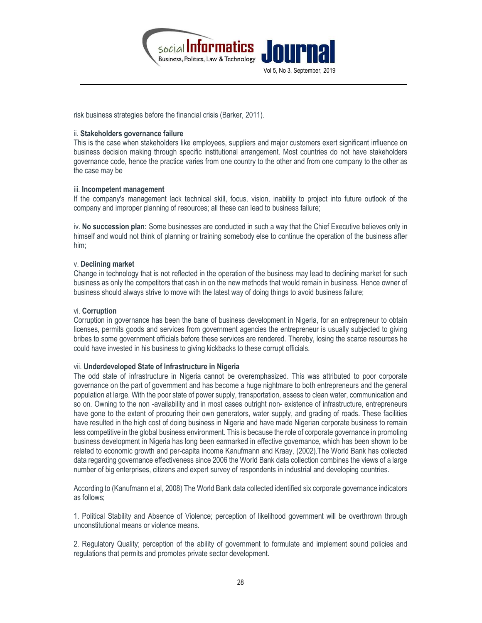

risk business strategies before the financial crisis (Barker, 2011).

#### ii. Stakeholders governance failure

This is the case when stakeholders like employees, suppliers and major customers exert significant influence on business decision making through specific institutional arrangement. Most countries do not have stakeholders governance code, hence the practice varies from one country to the other and from one company to the other as the case may be

#### iii. Incompetent management

If the company's management lack technical skill, focus, vision, inability to project into future outlook of the company and improper planning of resources; all these can lead to business failure;

iv. No succession plan: Some businesses are conducted in such a way that the Chief Executive believes only in himself and would not think of planning or training somebody else to continue the operation of the business after him;

#### v. Declining market

Change in technology that is not reflected in the operation of the business may lead to declining market for such business as only the competitors that cash in on the new methods that would remain in business. Hence owner of business should always strive to move with the latest way of doing things to avoid business failure;

#### vi. Corruption

Corruption in governance has been the bane of business development in Nigeria, for an entrepreneur to obtain licenses, permits goods and services from government agencies the entrepreneur is usually subjected to giving bribes to some government officials before these services are rendered. Thereby, losing the scarce resources he could have invested in his business to giving kickbacks to these corrupt officials.

#### vii. Underdeveloped State of Infrastructure in Nigeria

The odd state of infrastructure in Nigeria cannot be overemphasized. This was attributed to poor corporate governance on the part of government and has become a huge nightmare to both entrepreneurs and the general population at large. With the poor state of power supply, transportation, assess to clean water, communication and so on. Owning to the non -availability and in most cases outright non- existence of infrastructure, entrepreneurs have gone to the extent of procuring their own generators, water supply, and grading of roads. These facilities have resulted in the high cost of doing business in Nigeria and have made Nigerian corporate business to remain less competitive in the global business environment. This is because the role of corporate governance in promoting business development in Nigeria has long been earmarked in effective governance, which has been shown to be related to economic growth and per-capita income Kanufmann and Kraay, (2002).The World Bank has collected data regarding governance effectiveness since 2006 the World Bank data collection combines the views of a large number of big enterprises, citizens and expert survey of respondents in industrial and developing countries.

According to (Kanufmann et al, 2008) The World Bank data collected identified six corporate governance indicators as follows;

1. Political Stability and Absence of Violence; perception of likelihood government will be overthrown through unconstitutional means or violence means.

2. Regulatory Quality; perception of the ability of government to formulate and implement sound policies and regulations that permits and promotes private sector development.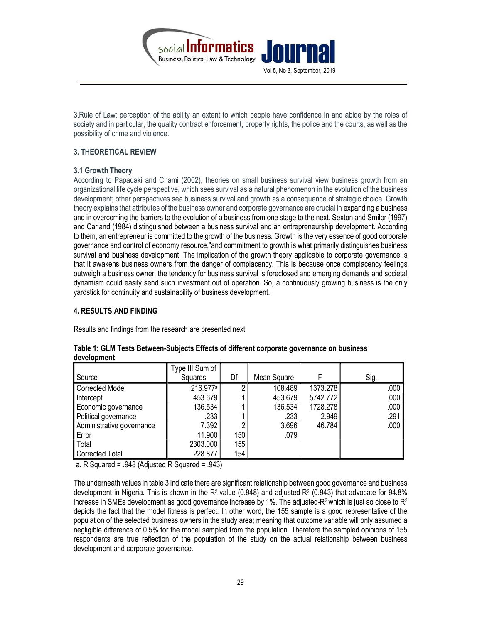

3.Rule of Law; perception of the ability an extent to which people have confidence in and abide by the roles of society and in particular, the quality contract enforcement, property rights, the police and the courts, as well as the possibility of crime and violence.

# 3. THEORETICAL REVIEW

# 3.1 Growth Theory

According to Papadaki and Chami (2002), theories on small business survival view business growth from an organizational life cycle perspective, which sees survival as a natural phenomenon in the evolution of the business development; other perspectives see business survival and growth as a consequence of strategic choice. Growth theory explains that attributes of the business owner and corporate governance are crucial in expanding a business and in overcoming the barriers to the evolution of a business from one stage to the next. Sexton and Smilor (1997) and Carland (1984) distinguished between a business survival and an entrepreneurship development. According to them, an entrepreneur is committed to the growth of the business. Growth is the very essence of good corporate governance and control of economy resource,"and commitment to growth is what primarily distinguishes business survival and business development. The implication of the growth theory applicable to corporate governance is that it awakens business owners from the danger of complacency. This is because once complacency feelings outweigh a business owner, the tendency for business survival is foreclosed and emerging demands and societal dynamism could easily send such investment out of operation. So, a continuously growing business is the only yardstick for continuity and sustainability of business development.

# 4. RESULTS AND FINDING

Results and findings from the research are presented next

| Source                    | Type III Sum of<br>Squares | Df  | Mean Square |          | Sig. |
|---------------------------|----------------------------|-----|-------------|----------|------|
| <b>Corrected Model</b>    | 216.977 <sup>a</sup>       | ŋ   | 108.489     | 1373.278 | .000 |
| Intercept                 | 453.679                    |     | 453.679     | 5742.772 | .000 |
| Economic governance       | 136.534                    |     | 136.534     | 1728.278 | .000 |
| Political governance      | .233                       |     | .233        | 2.949    | .291 |
| Administrative governance | 7.392                      | 2   | 3.696       | 46.784   | .000 |
| Error                     | 11.900                     | 150 | .079        |          |      |
| Total                     | 2303.000                   | 155 |             |          |      |
| <b>Corrected Total</b>    | 228.877                    | 154 |             |          |      |

# Table 1: GLM Tests Between-Subjects Effects of different corporate governance on business development

a. R Squared = .948 (Adjusted R Squared = .943)

The underneath values in table 3 indicate there are significant relationship between good governance and business development in Nigeria. This is shown in the R<sup>2</sup>-value (0.948) and adjusted-R<sup>2</sup> (0.943) that advocate for 94.8% increase in SMEs development as good governance increase by 1%. The adjusted-R<sup>2</sup> which is just so close to  $R^2$ depicts the fact that the model fitness is perfect. In other word, the 155 sample is a good representative of the population of the selected business owners in the study area; meaning that outcome variable will only assumed a negligible difference of 0.5% for the model sampled from the population. Therefore the sampled opinions of 155 respondents are true reflection of the population of the study on the actual relationship between business development and corporate governance.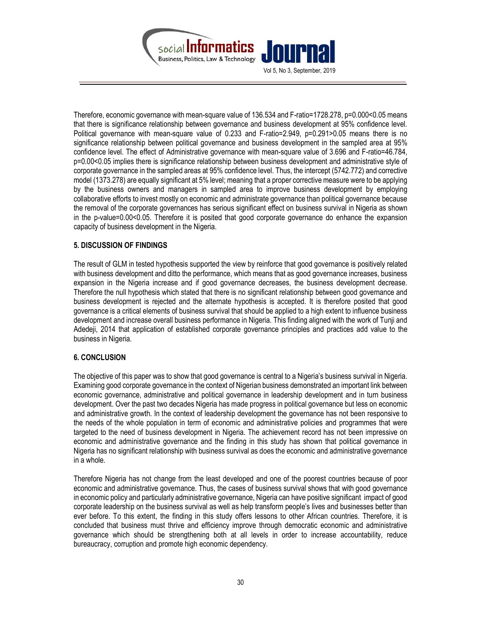

Therefore, economic governance with mean-square value of 136.534 and F-ratio=1728.278, p=0.000<0.05 means that there is significance relationship between governance and business development at 95% confidence level. Political governance with mean-square value of 0.233 and F-ratio=2.949, p=0.291>0.05 means there is no significance relationship between political governance and business development in the sampled area at 95% confidence level. The effect of Administrative governance with mean-square value of 3.696 and F-ratio=46.784, p=0.00<0.05 implies there is significance relationship between business development and administrative style of corporate governance in the sampled areas at 95% confidence level. Thus, the intercept (5742.772) and corrective model (1373.278) are equally significant at 5% level; meaning that a proper corrective measure were to be applying by the business owners and managers in sampled area to improve business development by employing collaborative efforts to invest mostly on economic and administrate governance than political governance because the removal of the corporate governances has serious significant effect on business survival in Nigeria as shown in the p-value=0.00<0.05. Therefore it is posited that good corporate governance do enhance the expansion capacity of business development in the Nigeria.

### 5. DISCUSSION OF FINDINGS

The result of GLM in tested hypothesis supported the view by reinforce that good governance is positively related with business development and ditto the performance, which means that as good governance increases, business expansion in the Nigeria increase and if good governance decreases, the business development decrease. Therefore the null hypothesis which stated that there is no significant relationship between good governance and business development is rejected and the alternate hypothesis is accepted. It is therefore posited that good governance is a critical elements of business survival that should be applied to a high extent to influence business development and increase overall business performance in Nigeria. This finding aligned with the work of Tunji and Adedeji, 2014 that application of established corporate governance principles and practices add value to the business in Nigeria.

# 6. CONCLUSION

The objective of this paper was to show that good governance is central to a Nigeria's business survival in Nigeria. Examining good corporate governance in the context of Nigerian business demonstrated an important link between economic governance, administrative and political governance in leadership development and in turn business development. Over the past two decades Nigeria has made progress in political governance but less on economic and administrative growth. In the context of leadership development the governance has not been responsive to the needs of the whole population in term of economic and administrative policies and programmes that were targeted to the need of business development in Nigeria. The achievement record has not been impressive on economic and administrative governance and the finding in this study has shown that political governance in Nigeria has no significant relationship with business survival as does the economic and administrative governance in a whole.

Therefore Nigeria has not change from the least developed and one of the poorest countries because of poor economic and administrative governance. Thus, the cases of business survival shows that with good governance in economic policy and particularly administrative governance, Nigeria can have positive significant impact of good corporate leadership on the business survival as well as help transform people's lives and businesses better than ever before. To this extent, the finding in this study offers lessons to other African countries. Therefore, it is concluded that business must thrive and efficiency improve through democratic economic and administrative governance which should be strengthening both at all levels in order to increase accountability, reduce bureaucracy, corruption and promote high economic dependency.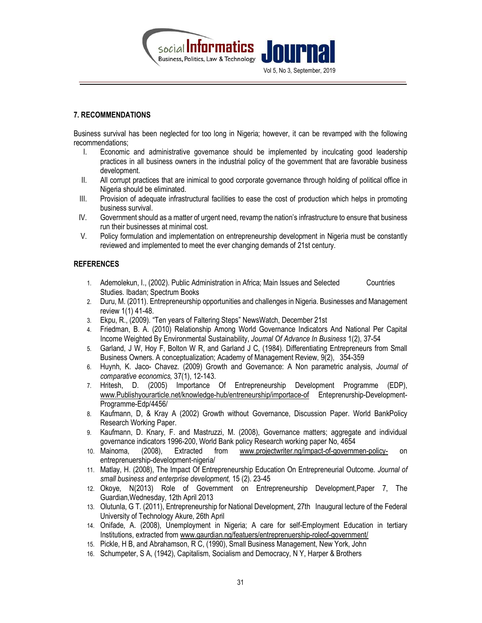

### 7. RECOMMENDATIONS

Business survival has been neglected for too long in Nigeria; however, it can be revamped with the following recommendations;

- I. Economic and administrative governance should be implemented by inculcating good leadership practices in all business owners in the industrial policy of the government that are favorable business development.
- II. All corrupt practices that are inimical to good corporate governance through holding of political office in Nigeria should be eliminated.
- III. Provision of adequate infrastructural facilities to ease the cost of production which helps in promoting business survival.
- IV. Government should as a matter of urgent need, revamp the nation's infrastructure to ensure that business run their businesses at minimal cost.
- V. Policy formulation and implementation on entrepreneurship development in Nigeria must be constantly reviewed and implemented to meet the ever changing demands of 21st century.

### **REFERENCES**

- 1. Ademolekun, I., (2002). Public Administration in Africa; Main Issues and Selected Countries Studies. Ibadan; Spectrum Books
- 2. Duru, M. (2011). Entrepreneurship opportunities and challenges in Nigeria. Businesses and Management review 1(1) 41-48.
- 3. Ekpu, R., (2009). "Ten years of Faltering Steps" NewsWatch, December 21st
- 4. Friedman, B. A. (2010) Relationship Among World Governance Indicators And National Per Capital Income Weighted By Environmental Sustainability, Journal Of Advance In Business 1(2), 37-54
- 5. Garland, J W, Hoy F, Bolton W R, and Garland J C, (1984). Differentiating Entrepreneurs from Small Business Owners. A conceptualization; Academy of Management Review, 9(2), 354-359
- 6. Huynh, K. Jaco- Chavez. (2009) Growth and Governance: A Non parametric analysis, Journal of comparative economics, 37(1), 12-143.
- 7. Hritesh, D. (2005) Importance Of Entrepreneurship Development Programme (EDP), www.Publishyourarticle.net/knowledge-hub/entreneurship/importace-of Enteprenurship-Development-Programme-Edp/4456/
- 8. Kaufmann, D, & Kray A (2002) Growth without Governance, Discussion Paper. World BankPolicy Research Working Paper.
- 9. Kaufmann, D. Knary, F. and Mastruzzi, M. (2008), Governance matters; aggregate and individual governance indicators 1996-200, World Bank policy Research working paper No, 4654
- 10. Mainoma, (2008), Extracted from www.projectwriter.ng/impact-of-governmen-policy- on entreprenuership-development-nigeria/
- 11. Matlay, H. (2008), The Impact Of Entrepreneurship Education On Entrepreneurial Outcome. Journal of small business and enterprise development, 15 (2). 23-45
- 12. Okoye, N(2013) Role of Government on Entrepreneurship Development,Paper 7, The Guardian,Wednesday, 12th April 2013
- 13. Olutunla, G T. (2011), Entrepreneurship for National Development, 27th Inaugural lecture of the Federal University of Technology Akure, 26th April
- 14. Onifade, A. (2008), Unemployment in Nigeria; A care for self-Employment Education in tertiary Institutions, extracted from www.gaurdian.ng/featuers/entreprenuership-roleof-government/
- 15. Pickle, H B, and Abrahamson, R C, (1990), Small Business Management, New York, John
- 16. Schumpeter, S A, (1942), Capitalism, Socialism and Democracy, N Y, Harper & Brothers